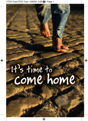# It's time to the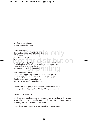*It's time to come home* © Matthias Media 2009

edia<br>Press Ltd ACN 067 558 365  $\bigcirc$   $\bigcirc$   $\bigcirc$   $\bigcirc$ Kingstord NSW 2032<br>
Australia<br>
Telephone: (02) 9663 1478; international: +61-2-9663-1478<br>
Facsimile: (02) 9663 2265: international: +61-2-9663-2265 thiasmedia.com.au<br>atthiasmedia.com.au Matthias Media (St Matthias Press Ltd ACN 067 558 365) PO Box 225 Kingsford NSW 2032 Australia Facsimile: (02) 9663 3265; international: +61-2-9663-3265 Email: info@matthiasmedia.com.au Internet: www.matthiasmedia.com.au Matthias Media (USA) Telephone: 724 964 8152; international: +1-724-964-8152

Facsimile: 724 964 8166; international: +1-724-964-8166 Email: sales@matthiasmedia.com Internet: www.matthiasmedia.com

The text for Luke 15:11-32 is taken from *The Essential Jesus*, copyright © 2008 by Matthias Media. All rights reserved.

ISBN 978 1 921441 48 6

All rights reserved. Except as may be permitted by the Copyright Act, no part of this publication may be reproduced in any form or by any means without prior permission from the publisher.

Cover design and typesetting: www.madebydesign.com.au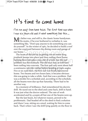### It<sup>1</sup>s time to come home

I've run away from home twice. The first time was when I was six years old and it went something like this …

If the coarty and between the diffiling from and gang<br>The heart of the job lay in getting the six metre long My father was, and still is, the classic home handyman.<br>MHis motto, if he ever bothered to verbalize it, was something like, "Don't pay anyone to do something you can do yourself". In the winter of 1967, he decided to build a roof over the courtyard between the dining room and garage of our home.

Ironbark beams into place and then nating them nome.<br>Getting them into place was a bit of a trick, but the real<br>problem was the ironbark. The old man may as well have nto concrete. The first nail only we<br>nto the timber before bending at r<br>ls later, the first nail was finally hai ironbark beams into place and then nailing them home. Getting them into place was a bit of a trick, but the real been nailing into concrete. The first nail only went about half a centimetre into the timber before bending at right angles. Five or six nails later, the first nail was finally hammered home. Two beams and two hours later, it became obvious: this was going to take a while. And that was a problem. Dad was a stickler for a schedule and, according to the schedule, all the beams were due up that Saturday. There had to be another way.

In a moment of brilliance, Dad remembered his electric drill. He raced out to the shed and came back, drill in hand. It was just what the doctor ordered. The rate of work accelerated and by 4:00pm all but one of the beams were up.

But the last beam, for whatever reason, proved to be problematic. Dad headed off to the shed to find a solution and there I was, sitting on a stool, waiting for him to come back. That's when I saw the drill lying quietly on the floor in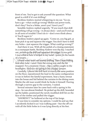front of me. You've got to ask yourself the question: What good is a drill if it's not drilling?

Reckless Andrew started whispering in my ear. "Go on, have a go—what could go wrong? Blokes use power tools, don't they? You're a bloke, aren't you? Aren't you?!"

Sensible Andrew replied urgently, "If you touch that drill something will go wrong—it always does—and you'll end up in all sorts of trouble!! Don't do it—don't even think about it! You'll regret it."

Reckless Andrew piped up again. "Come on, you big girl, at least pick it up and squeeze the trigger. You don't have to drill any holes—just squeeze the trigger. What could go wrong?!"

in a courtroom battie, keckiess Andrew won the day. I reached<br>out, picked up the drill and squeezed the trigger. It was gold.<br>I marvelled at how it kicked in my hand—power in the hands And there it was. With all the polish of a closing statement in a courtroom battle, Reckless Andrew won the day. I reached out, picked up the drill and squeezed the trigger. It was gold. of a lunatic.

of a lunatic.<br>I found some wood and started drilling. Then I kept drilling,<br>hole after hole—until I lent the wrong way and the bit r a moment I froze—like a rabbit c<br>Dad was not going to be a happy ca<br>I placed the drill back in exactly the I found some wood and started drilling. Then I kept drilling, hole after hole—until I lent the wrong way and the bit snapped. For a moment I froze—like a rabbit caught in the headlights. Dad was not going to be a happy camper.

Carefully, I placed the drill back in exactly the same position on the floor, repositioned the lead in the same configuration it was in before the fateful experiment, beat a hasty retreat into the house and hid behind the curtains in the dining room. Maybe the old man would think he broke it himself. Peering through a narrow gap in the curtains, I waited.

Several minutes later he came back with a spring in his step—he was almost finished. He picked up the drill, bounded up the ladder, positioned the newly modified drill bit on the face of the timber and pulled the trigger.

"ANDREW!!!" he hollered at the top of his lungs.

It was time to consider my options. I could lie and say that I accidently kicked it as I was walking past—but the off-cut with all the little holes in it was lying directly at his feet.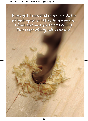It was gold. I marvelled at how it kicked in my hand — power in the hands of a lunatic. I found some wood and started drilling. Then I kept drilling, hole after hole.

**Rayon** 

Noted to distribution

or printing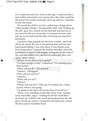Or I could turn and run. Even at that age, I could run like a jack-rabbit and maybe even outrun him. But what would be the point? He would eventually catch up with me. I decided to face the music.

He waved the drill in my face, yelled some things about "other people's things", "irresponsible child" and "holding up the job", gave me a whack on the backside and sent me to my room for the rest of eternity. I retreated in tears, and just sat on my bed until the idea of moving out started to germinate.

rrom nome when I spotted the raminar dim glow from th<br>headlights of mum's Volkswagen. Seeing me on the side<br>the road she pulled over, opened the passenger door and I packed a bag, jumped out the front window, and took off up the street. By now it was getting dark and the rain had started falling. I was only three or four blocks away from home when I spotted the familiar dim glow from the headlights of mum's Volkswagen. Seeing me on the side of spoke rather calmly.

"Where do you think you're going?"

spoke rather calmly.<br>"Where do you think you're going?"<br>"I've had enough of him", I answered. "I'm running away" !"<br>you do?" she quizzed.<br>I shrugged. from home!"

"What will you do?" she quizzed.

"I dunno", I shrugged.

"How will you survive?"

"I dunno."

"What will you eat?"

"I dunno."

"Where will you live?" That one I'd worked out. I knew exactly where I was going.

"I'm going to the tip to live in the boot of an old car."

There I was, standing on the side of the road—hungry, tired, miserable, angry—looking for all the world like a drowned rat. It didn't take much persuading from the old girl to break my resolve. I jumped in the back seat, closed the door and we trundled home.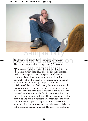

#### That was the first time I ran away from home. The second was much later and very different.

The second time I ran away from home, I was like the<br>The second time I ran away from home, I was like the<br>man in a story that Jesus once told about a lost son. In that story, a young man (the younger of two sons) comes to his wealthy father, demands his inheritance early, takes off with a sizeable fortune, squanders the lot on wild living and ends up completely broken.

Why was I like him? Well, firstly, because of the way I treated my family. The most awful thing about Jesus' story is when the young man goes to his father and asks for his share of the inheritance. The family fortune involved land, livestock, property and holdings. He was asking his Dad to cash it up and make it portable. But that wasn't the worst of it. You're not supposed to get the inheritance until someone dies. The younger son basically looked his father in the eyes and wished him dead. He wasn't leaving home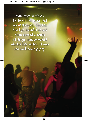$S_{\rm eq}$   $\gamma$ . Man, what a blast. We lived like lords, did as we pleased, flouted the law, dabbled in and then abused a range of drugs, and consumed alcohol like water. It was one continuous party.

Not for distribution

or printing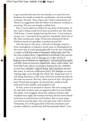to get married and start his own family, or to start his own business, do a trade or study for a profession—he just wanted to escape. He said, "See ya later, pal. I don't wanna know ya!" There's no suggestion that the father was abusive, reckless or uncaring. The son was simply a selfish brat.

Now, I never asked my father for my share of the estate. In fact, such a thing would never have occurred to me. But when I left home, I wasn't simply leaving the nest—I was trying to escape, too. I was tired of my parents' standards, their way of life, their morals and, sadly, I'd become ashamed of them. Without much of a goodbye, I packed up and left.

the inner city, it wash't geographically very far, but cultural<br>it might as well have been a thousand miles away. And like<br>the man in Jesus' story, I squandered everything I ever earne Like the man in the story, I moved to a foreign country from Carlingford, in Sydney's north-west, to Darlinghurst in the inner city. It wasn't geographically very far, but culturally, the man in Jesus' story, I squandered everything I ever earned.

I was in a band, and we did gigs in a wide variety of<br>Sydney's more illustrious nightspots—everything from pubs<br>and RSL clubs to exclusive nightclubs. Man, what a blast. We s, did as we pleased, flouted the lav<br>oused a range of drugs, and consum<br>vas one continuous party. We thou I was in a band, and we did gigs in a wide variety of Sydney's more illustrious nightspots—everything from pubs and RSL clubs to exclusive nightclubs. Man, what a blast. We lived like lords, did as we pleased, flouted the law, dabbled in and then abused a range of drugs, and consumed alcohol like water. It was one continuous party. We thought we were 'cutting edge', even though the whole 'sex, drugs and rock 'n' roll' thing had been a well-worn cliché for several decades by the time we arrived. But hey, when you're on fire, who gives a toss? Proud and arrogant, we burned the candle at both ends and in the middle, and laughed it off.

At first, none of it seemed to matter. We were young and fit, and early on there were no apparent effects on our health. We joked, even bragged, about the millions of brain cells crucified every night, the women we'd had, the bar-room brawls we'd been in and the laws we'd broken. But at some stage you have to pay the piper. You can't get away with it forever. Ultimately, two of the guys died of heroine overdoses and another suffered a stroke that left him partially blind. I was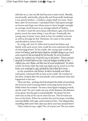still alive at 27, but my life had become a train wreck. Morally, emotionally, spiritually, physically and financially bankrupt, I was utterly broken—a hollow, empty shell of a man. Years later, after I'd recovered, I calculated that I had spent enough on booze and dope over those years to have bought outright an average-sized house in an average suburb of Sydney.

So when I read the story Jesus told about a guy who'd done pretty much the same thing, I was all ears. Eventually the young man in Jesus' story sank so low, he couldn't even eat as well as the pigs he fed. Destitute, he came to his senses and decided to return home.

or returning nome: 10 nis creait, the young man could see<br>what he'd done, and he knew that he couldn't hope to go back<br>and expect to be accepted by his family. So as he trekked home, he worked out what he'd say to his father: "I have sinned<br>toward God and before you. I am no longer worthy to be<br>called your son. Make me like one of your employees." In other hew that the only way back was to of<br>empt to pay, somehow, for what he<br>antime the father, broken-hearted It's a big call, isn't it? After he'd treated his father and family with such scorn, how could he even entertain the idea of returning home? To his credit, the young man could see and expect to be accepted by his family. So as he trekked home, he worked out what he'd say to his father: "I have sinned toward God and before you. I am no longer worthy to be words, he knew that the only way back was to crawl in on his belly and attempt to pay, somehow, for what he'd done.

In the meantime the father, broken-hearted and filled with grief, continued life as best as he could. He worked on his farm, looked after his household, and wondered what had happened to his son.

Then one day—perhaps he'd developed the habit of searching the horizon each evening before returning home from the fields where he worked—he sees a lone figure trudging wearily up the road. He can't make out any of the features, the distance is too great, but the gait is unmistakable. He drops his hoe and runs as fast as he can to meet his son. The servants are hot on his heels. When he reaches his son he stops, trembles uncontrollably with rage, and screams at him, "You disgraceful, snivelling little snot! How dare you show your face around here!"

That's what he says, right? No, of course not! The son starts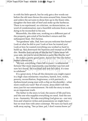in with his little speech, but he only gets a few words out before the old man throws his arms around him, kisses him and orders the servants to dress him up in the finest robe, slaughter the best side of beef and stoke up the barbecue. There is no reprimand, no criticism, no denunciation, no word of condemnation; just a heartfelt welcome from a man dying to be reconciled to his son.

Meanwhile, the elder son, working on a different part of the property, gets wind of his brother's return and the subsequent feast. He's furious.

bund up. He's destroyed the business and treated us an i<br>dirt. Besides, how can any of this be fair? I have never left<br>your side, yet you've never thrown a party like this for me "For goodness' sake, Dad, how can you welcome him home? Look at what he did to you! Look at how he treated you! Look at how he wasted everything you worked so hard to build up. He's destroyed the business and treated us all like your side, yet you've never thrown a party like this for me!"

He makes a pretty good point, doesn't he? But the father<br>makes a better one.<br>"My son, everything I have left is yours—a substantial He makes a pretty good point, doesn't he? But the father makes a better one.

nore importantly, your brother was<br>d. He was dead and now he's alive. fortune! But more importantly, your brother was lost and now he's found. He was dead and now he's alive. It's time to celebrate!"

It's a great story. It has all the elements you might expect in a high-class miniseries: treachery, hatred, love, riches, poverty, reconciliation, forgiveness, a rich patriarch, a dysfunctional young man with a chip on his shoulder—what more could you want? But of course, Jesus didn't tell this story just for our entertainment. He told the story to teach us an important truth.

The father in the story is God, the source of life and love, and the one who supplies everything we need. And the son is us—humanity. We take everything God gives us—our very lives and whatever riches and possessions we might have but we treat him with utter contempt. We turn our back and walk away saying, "See ya later, pal, I don't wanna know ya!"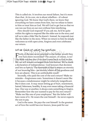This is called sin. It involves our moral failure, but it's more than that. At its core, sin is about rebellion—it's about ignoring God. We know that God's there, we know that everything we have comes from him, but we refuse to listen to him or treat him as God. We tell God to get lost so that we can run our lives on our own without him interfering.

How should God respond? If you ask me, he'd be quite within his rights to respond like the older son in the story and tell us to take a hike! But he doesn't. Instead, he responds just like the father in the story. When we return to him he simply welcomes us with open arms, forgives and even celebrates our return.

#### Let me finish by asking two questions:

tinish by asking two questions:<br>, if the son never returned to the father, we<br>have been reconciled? The anguar of cour The Bible teaches that if we don't come back to God in this life, we will remain estranged from him forever. We've made a declaration of independence. God nonours that decision<br>and lets us have it. The downside is that it means an eternity<br>of not knowing him—an eternity where all his goodness and Firstly, if the son never returned to the father, would they<br>ever have been reconciled? The answer, of course, is no! life, we will remain estranged from him forever. We've made a declaration of independence. God honours that decision of not knowing him—an eternity where all his goodness and love are absent. This is an unthinkable result!

Secondly, who paid the cost of the son's return? Make no mistake—forgiveness costs. Sometimes it doesn't seem like it because a misdemeanor might be relatively insignificant. But it does cost. It may mean letting go of hurt, resentment, hatred, bitterness, hostility. It may even mean taking a financial loss. One way or another, it always costs something to forgive. Remember how the son wanted to pay for his own return? "Make me like one of your employees." But the father will have none of it. He wears the cost himself—he never expects the son to pay.

God is the same. He pays the cost himself. In the greatest act of love the world has ever known, Jesus paid for our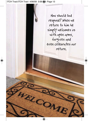Sample only the sample How should God respond? When we return to him he simply welcomes us with open arms, forgives and even celebrates our return.

Not for distribution of the second second second second second second second second second second second second

or printing

ELCOM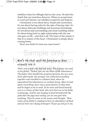rebellion when he willingly died on the cross. He died the death that our treachery deserves. When we accept Jesus as Lord and Saviour, our rebellion is paid for and forgiven.

Christianity is not about fancy rituals and ceremonies. It's not about having rules for the sake of having rules. It's not about elaborate buildings and luxurious furnishings. It's not about stale surroundings and mind-numbing chants. It's about being back in right relationship with the one who gave us life—and that is all. The heart of the matter is that it's a matter of the heart. Christianity is simply about coming home.

Don't you think it's time you came home?

## Sample only

#### Here's the story about the young man as Jesus originally told it:

or printing *to his father, "Father, give me my share of the inheritance". There was a man who had two sons. The younger one said The father then divided the property between the two sons. Soon afterwards, the younger son collected everything together and travelled to a distant land, where he squandered his inheritance on reckless living. After he had spent everything, there was a great famine in that land, and he began to be in need. So he went and hired himself out to a citizen of that land, who sent him out to his fields to feed pigs. And he was longing to feed himself with the pods that the pigs were eating; yet no-one gave him anything. Then he came to his senses and thought, "How many of my father's employees have an abundance of food, and yet here am I dying of hunger! I'll get up and go to my*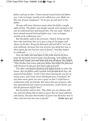*father and say to him, 'I have sinned toward God and before you. I am no longer worthy to be called your son. Make me like one of your employees.'" So he got up and went to his father.*

*He was still some distance away when his father caught sight of him. The father was deeply moved, and running to his son he embraced him and kissed him. The son said, "Father, I have sinned toward God and before you. I am no longer worthy to be called your son."*

ve again; ne was lost but now is found. And they begal<br>celebrate.<br>Now the elder son had been in the field, and as he drew *But the father said to his servants, "Quick, bring out the best robe and dress him in it; put a ring on his finger and shoes on his feet. Bring the fattened calf and kill it. Let's eat and celebrate, because this son of mine was dead but now is alive again; he was lost but now is found." And they began to celebrate.*

near the house he heard music and dancing. And calling one<br>of the hired hands, he asked what this was all about. He replied,<br>"Your brother has come and your father has killed the fattened *near the house he heard music and dancing. And calling one of the hired hands, he asked what this was all about. He replied, calf, because he has got him back safe and well".*

ie has got him back safe and well".<br>n became furious and refused even<br>father went outside and pleaded w *The elder son became furious and refused even to enter the house. But his father went outside and pleaded with him. He answered his father, "Look! I have been slaving for you for so many years, and I have never disobeyed your command. Yet you have never given me even a goat so that I could have a celebration with my friends. But when this son of yours, who has squandered your estate on prostitutes, comes home, you kill the fattened calf for him!"*

*But his father said to him, "My child, you are always with me, and everything that is mine is yours. But we must celebrate and rejoice, because this brother of yours was dead but now is alive, and was lost but now is found."* **(Luke 15:11-32)**